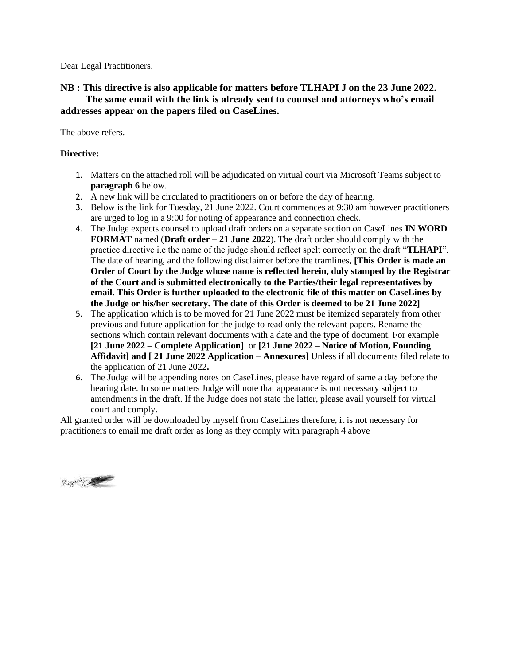Dear Legal Practitioners.

## **NB : This directive is also applicable for matters before TLHAPI J on the 23 June 2022. The same email with the link is already sent to counsel and attorneys who's email addresses appear on the papers filed on CaseLines.**

The above refers.

## **Directive:**

- 1. Matters on the attached roll will be adjudicated on virtual court via Microsoft Teams subject to **paragraph 6** below.
- 2. A new link will be circulated to practitioners on or before the day of hearing.
- 3. Below is the link for Tuesday, 21 June 2022. Court commences at 9:30 am however practitioners are urged to log in a 9:00 for noting of appearance and connection check.
- 4. The Judge expects counsel to upload draft orders on a separate section on CaseLines **IN WORD FORMAT** named (**Draft order – 21 June 2022**). The draft order should comply with the practice directive i.e the name of the judge should reflect spelt correctly on the draft "**TLHAPI**", The date of hearing, and the following disclaimer before the tramlines, **[This Order is made an Order of Court by the Judge whose name is reflected herein, duly stamped by the Registrar of the Court and is submitted electronically to the Parties/their legal representatives by email. This Order is further uploaded to the electronic file of this matter on CaseLines by the Judge or his/her secretary. The date of this Order is deemed to be 21 June 2022]**
- 5. The application which is to be moved for 21 June 2022 must be itemized separately from other previous and future application for the judge to read only the relevant papers. Rename the sections which contain relevant documents with a date and the type of document. For example **[21 June 2022 – Complete Application]** or **[21 June 2022 – Notice of Motion, Founding Affidavit] and [ 21 June 2022 Application – Annexures]** Unless if all documents filed relate to the application of 21 June 2022**.**
- 6. The Judge will be appending notes on CaseLines, please have regard of same a day before the hearing date. In some matters Judge will note that appearance is not necessary subject to amendments in the draft. If the Judge does not state the latter, please avail yourself for virtual court and comply.

All granted order will be downloaded by myself from CaseLines therefore, it is not necessary for practitioners to email me draft order as long as they comply with paragraph 4 above